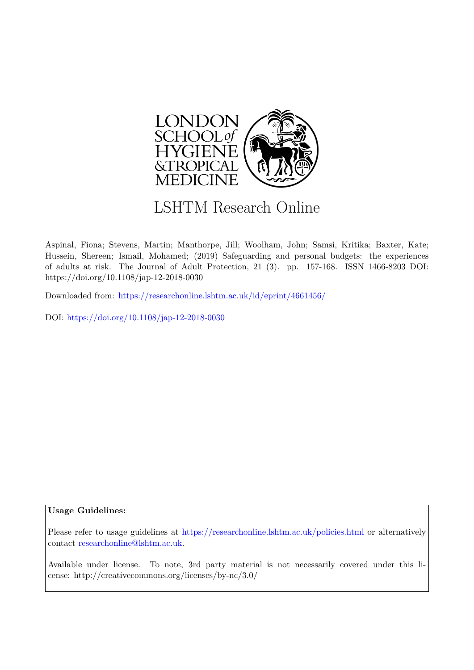

# LSHTM Research Online

Aspinal, Fiona; Stevens, Martin; Manthorpe, Jill; Woolham, John; Samsi, Kritika; Baxter, Kate; Hussein, Shereen; Ismail, Mohamed; (2019) Safeguarding and personal budgets: the experiences of adults at risk. The Journal of Adult Protection, 21 (3). pp. 157-168. ISSN 1466-8203 DOI: https://doi.org/10.1108/jap-12-2018-0030

Downloaded from: <https://researchonline.lshtm.ac.uk/id/eprint/4661456/>

DOI: https://doi.org/10.1108/jap-12-2018-0030

### **Usage Guidelines:**

Please refer to usage guidelines at <https://researchonline.lshtm.ac.uk/policies.html> or alternatively contact [researchonline@lshtm.ac.uk.](mailto:researchonline@lshtm.ac.uk)

Available under license. To note, 3rd party material is not necessarily covered under this license: http://creativecommons.org/licenses/by-nc/3.0/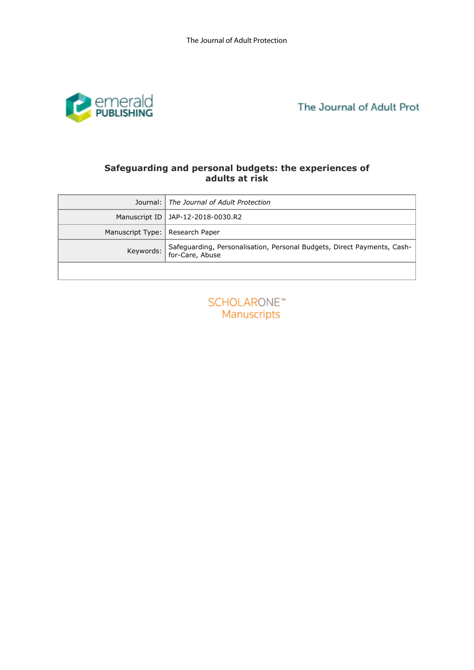

# **adults at risk**

|                  | Safeguarding and personal budgets: the experiences of<br>adults at risk                    |
|------------------|--------------------------------------------------------------------------------------------|
| Journal:         | The Journal of Adult Protection                                                            |
| Manuscript ID    | JAP-12-2018-0030.R2                                                                        |
| Manuscript Type: | Research Paper                                                                             |
| Keywords:        | Safeguarding, Personalisation, Personal Budgets, Direct Payments, Cash-<br>for-Care, Abuse |
|                  |                                                                                            |
|                  | <b>SCHOLARONE™</b><br>Manuscripts                                                          |

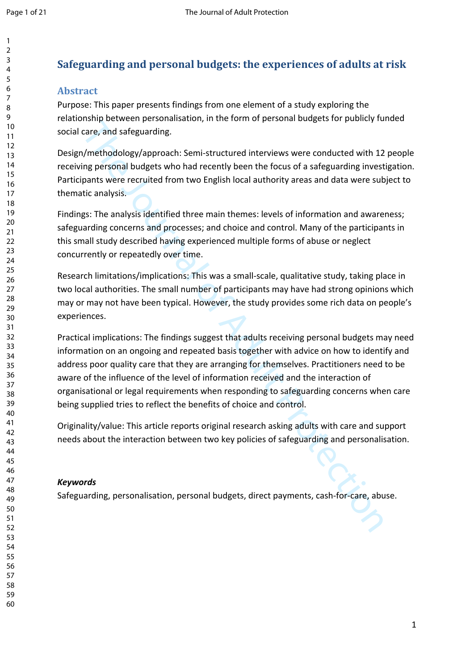## **Safeguarding and personal budgets: the experiences of adults at risk**

## **Abstract**

Purpose: This paper presents findings from one element of a study exploring the relationship between personalisation, in the form of personal budgets for publicly funded social care, and safeguarding.

Design/methodology/approach: Semi-structured interviews were conducted with 12 people receiving personal budgets who had recently been the focus of a safeguarding investigation. Participants were recruited from two English local authority areas and data were subject to thematic analysis.

Findings: The analysis identified three main themes: levels of information and awareness; safeguarding concerns and processes; and choice and control. Many of the participants in this small study described having experienced multiple forms of abuse or neglect concurrently or repeatedly over time.

Research limitations/implications: This was a small-scale, qualitative study, taking place in two local authorities. The small number of participants may have had strong opinions which may or may not have been typical. However, the study provides some rich data on people's experiences.

Hampy total strandination, the the form in the passion of the fact, and stagranding.<br>The Journal of Advisory and recently been the focus of a safeguarding invest<br>acre, and safeguarding.<br>  $\gamma$ /methodology/approach: Semi-str Practical implications: The findings suggest that adults receiving personal budgets may need information on an ongoing and repeated basis together with advice on how to identify and address poor quality care that they are arranging for themselves. Practitioners need to be aware of the influence of the level of information received and the interaction of organisational or legal requirements when responding to safeguarding concerns when care being supplied tries to reflect the benefits of choice and control.

Originality/value: This article reports original research asking adults with care and support needs about the interaction between two key policies of safeguarding and personalisation.

## *Keywords*

Safeguarding, personalisation, personal budgets, direct payments, cash-for-care, abuse.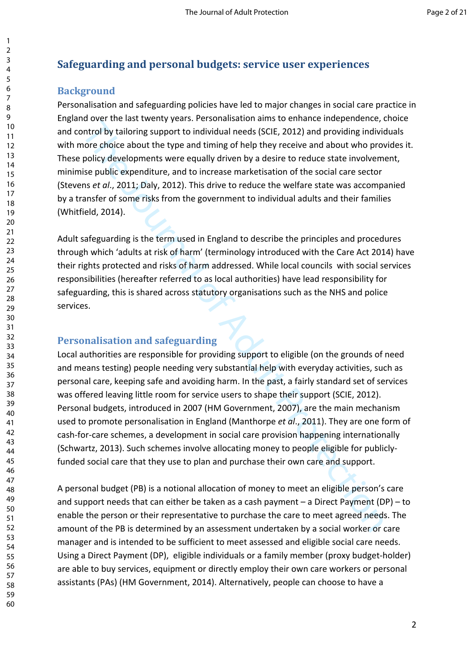## **Safeguarding and personal budgets: service user experiences**

## **Background**

Personalisation and safeguarding policies have led to major changes in social care practice in England over the last twenty years. Personalisation aims to enhance independence, choice and control by tailoring support to individual needs (SCIE, 2012) and providing individuals with more choice about the type and timing of help they receive and about who provides it. These policy developments were equally driven by a desire to reduce state involvement, minimise public expenditure, and to increase marketisation of the social care sector (Stevens *et al*., 2011; Daly, 2012). This drive to reduce the welfare state was accompanied by a transfer of some risks from the government to individual adults and their families (Whitfield, 2014).

Adult safeguarding is the term used in England to describe the principles and procedures through which 'adults at risk of harm' (terminology introduced with the Care Act 2014) have their rights protected and risks of harm addressed. While local councils with social services responsibilities (hereafter referred to as local authorities) have lead responsibility for safeguarding, this is shared across statutory organisations such as the NHS and police services.

## **Personalisation and safeguarding**

of orcharact methapone and mathemole and the proton and the orcharact and the protocolation and the production of the protocolation and the protocolation of the protocolation of the product who provide about the type and t Local authorities are responsible for providing support to eligible (on the grounds of need and means testing) people needing very substantial help with everyday activities, such as personal care, keeping safe and avoiding harm. In the past, a fairly standard set of services was offered leaving little room for service users to shape their support (SCIE, 2012). Personal budgets, introduced in 2007 (HM Government, 2007), are the main mechanism used to promote personalisation in England (Manthorpe *et al*., 2011). They are one form of cash-for-care schemes, a development in social care provision happening internationally (Schwartz, 2013). Such schemes involve allocating money to people eligible for publiclyfunded social care that they use to plan and purchase their own care and support.

A personal budget (PB) is a notional allocation of money to meet an eligible person's care and support needs that can either be taken as a cash payment – a Direct Payment (DP) – to enable the person or their representative to purchase the care to meet agreed needs. The amount of the PB is determined by an assessment undertaken by a social worker or care manager and is intended to be sufficient to meet assessed and eligible social care needs. Using a Direct Payment (DP), eligible individuals or a family member (proxy budget-holder) are able to buy services, equipment or directly employ their own care workers or personal assistants (PAs) (HM Government, 2014). Alternatively, people can choose to have a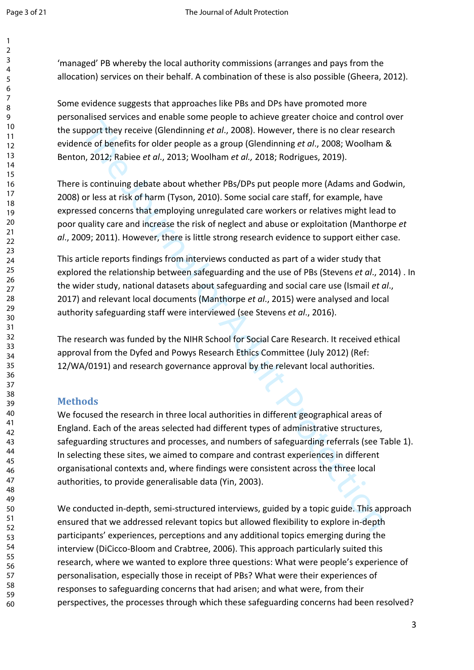'managed' PB whereby the local authority commissions (arranges and pays from the allocation) services on their behalf. A combination of these is also possible (Gheera, 2012).

Some evidence suggests that approaches like PBs and DPs have promoted more personalised services and enable some people to achieve greater choice and control over the support they receive (Glendinning *et al*., 2008). However, there is no clear research evidence of benefits for older people as a group (Glendinning *et al*., 2008; Woolham & Benton, 2012; Rabiee *et al*., 2013; Woolham *et al.,* 2018; Rodrigues, 2019).

There is continuing debate about whether PBs/DPs put people more (Adams and Godwin, 2008) or less at risk of harm (Tyson, 2010). Some social care staff, for example, have expressed concerns that employing unregulated care workers or relatives might lead to poor quality care and increase the risk of neglect and abuse or exploitation (Manthorpe *et al*., 2009; 2011). However, there is little strong research evidence to support either case.

This article reports findings from interviews conducted as part of a wider study that explored the relationship between safeguarding and the use of PBs (Stevens *et al*., 2014) . In the wider study, national datasets about safeguarding and social care use (Ismail *et al*., 2017) and relevant local documents (Manthorpe *et al*., 2015) were analysed and local authority safeguarding staff were interviewed (see Stevens *et al*., 2016).

The research was funded by the NIHR School for Social Care Research. It received ethical approval from the Dyfed and Powys Research Ethics Committee (July 2012) (Ref: 12/WA/0191) and research governance approval by the relevant local authorities.

## **Methods**

pport they receive (Glendiming et al., 2008). However, there is no dear researce of benefits for odeer people as a group (Glendiming et al., 2008; Woolham, 2012; Rabiee et al., 2013; Woolham et al., 2018; Rodrigues, 2019). We focused the research in three local authorities in different geographical areas of England. Each of the areas selected had different types of administrative structures, safeguarding structures and processes, and numbers of safeguarding referrals (see Table 1). In selecting these sites, we aimed to compare and contrast experiences in different organisational contexts and, where findings were consistent across the three local authorities, to provide generalisable data (Yin, 2003).

We conducted in-depth, semi-structured interviews, guided by a topic guide. This approach ensured that we addressed relevant topics but allowed flexibility to explore in-depth participants' experiences, perceptions and any additional topics emerging during the interview (DiCicco-Bloom and Crabtree, 2006). This approach particularly suited this research, where we wanted to explore three questions: What were people's experience of personalisation, especially those in receipt of PBs? What were their experiences of responses to safeguarding concerns that had arisen; and what were, from their perspectives, the processes through which these safeguarding concerns had been resolved?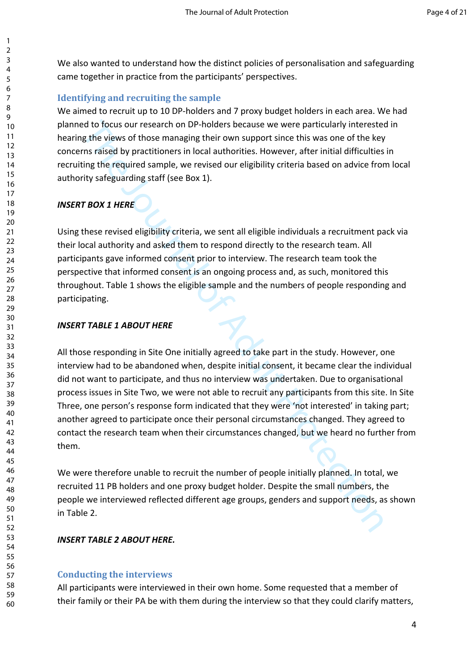We also wanted to understand how the distinct policies of personalisation and safeguarding came together in practice from the participants' perspectives.

## **Identifying and recruiting the sample**

We aimed to recruit up to 10 DP-holders and 7 proxy budget holders in each area. We had planned to focus our research on DP-holders because we were particularly interested in hearing the views of those managing their own support since this was one of the key concerns raised by practitioners in local authorities. However, after initial difficulties in recruiting the required sample, we revised our eligibility criteria based on advice from local authority safeguarding staff (see Box 1).

## *INSERT BOX 1 HERE*

Using these revised eligibility criteria, we sent all eligible individuals a recruitment pack via their local authority and asked them to respond directly to the research team. All participants gave informed consent prior to interview. The research team took the perspective that informed consent is an ongoing process and, as such, monitored this throughout. Table 1 shows the eligible sample and the numbers of people responding and participating.

### *INSERT TABLE 1 ABOUT HERE*

ed to focus our research on DP-holders because we were particularly interested<br>the views of those managing their rown support since this was one of the key<br>straised by practitioners in local authorities. However, after ini All those responding in Site One initially agreed to take part in the study. However, one interview had to be abandoned when, despite initial consent, it became clear the individual did not want to participate, and thus no interview was undertaken. Due to organisational process issues in Site Two, we were not able to recruit any participants from this site. In Site Three, one person's response form indicated that they were 'not interested' in taking part; another agreed to participate once their personal circumstances changed. They agreed to contact the research team when their circumstances changed, but we heard no further from them.

We were therefore unable to recruit the number of people initially planned. In total, we recruited 11 PB holders and one proxy budget holder. Despite the small numbers, the people we interviewed reflected different age groups, genders and support needs, as shown in Table 2.

## *INSERT TABLE 2 ABOUT HERE.*

### **Conducting the interviews**

All participants were interviewed in their own home. Some requested that a member of their family or their PA be with them during the interview so that they could clarify matters,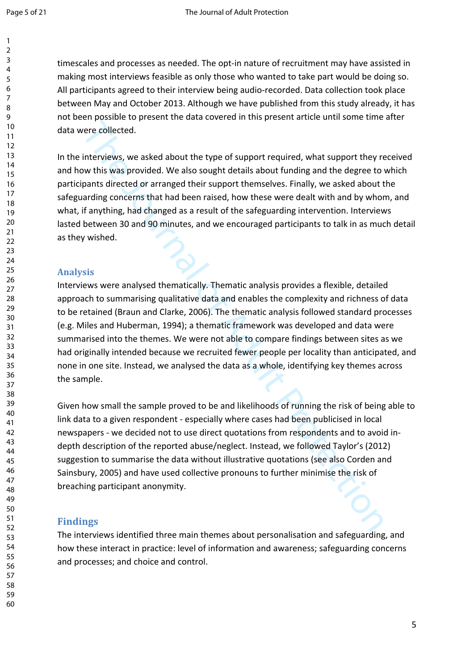timescales and processes as needed. The opt-in nature of recruitment may have assisted in making most interviews feasible as only those who wanted to take part would be doing so. All participants agreed to their interview being audio-recorded. Data collection took place between May and October 2013. Although we have published from this study already, it has not been possible to present the data covered in this present article until some time after data were collected.

In the interviews, we asked about the type of support required, what support they received and how this was provided. We also sought details about funding and the degree to which participants directed or arranged their support themselves. Finally, we asked about the safeguarding concerns that had been raised, how these were dealt with and by whom, and what, if anything, had changed as a result of the safeguarding intervention. Interviews lasted between 30 and 90 minutes, and we encouraged participants to talk in as much detail as they wished.

## **Analysis**

From the content of the same of the same of the same of the same of the same of the same of the same of the same of the same of the same of the same of the same of the same of the same of the same of the same of the same o Interviews were analysed thematically. Thematic analysis provides a flexible, detailed approach to summarising qualitative data and enables the complexity and richness of data to be retained (Braun and Clarke, 2006). The thematic analysis followed standard processes (e.g. Miles and Huberman, 1994); a thematic framework was developed and data were summarised into the themes. We were not able to compare findings between sites as we had originally intended because we recruited fewer people per locality than anticipated, and none in one site. Instead, we analysed the data as a whole, identifying key themes across the sample.

Given how small the sample proved to be and likelihoods of running the risk of being able to link data to a given respondent - especially where cases had been publicised in local newspapers - we decided not to use direct quotations from respondents and to avoid indepth description of the reported abuse/neglect. Instead, we followed Taylor's (2012) suggestion to summarise the data without illustrative quotations (see also Corden and Sainsbury, 2005) and have used collective pronouns to further minimise the risk of breaching participant anonymity.

## **Findings**

The interviews identified three main themes about personalisation and safeguarding, and how these interact in practice: level of information and awareness; safeguarding concerns and processes; and choice and control.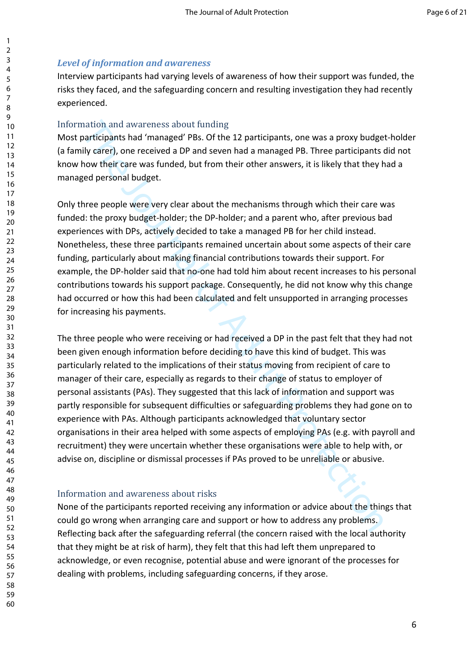## *Level of information and awareness*

Interview participants had varying levels of awareness of how their support was funded, the risks they faced, and the safeguarding concern and resulting investigation they had recently experienced.

## Information and awareness about funding

Most participants had 'managed' PBs. Of the 12 participants, one was a proxy budget-holder (a family carer), one received a DP and seven had a managed PB. Three participants did not know how their care was funded, but from their other answers, it is likely that they had a managed personal budget.

Only three people were very clear about the mechanisms through which their care was funded: the proxy budget-holder; the DP-holder; and a parent who, after previous bad experiences with DPs, actively decided to take a managed PB for her child instead. Nonetheless, these three participants remained uncertain about some aspects of their care funding, particularly about making financial contributions towards their support. For example, the DP-holder said that no-one had told him about recent increases to his personal contributions towards his support package. Consequently, he did not know why this change had occurred or how this had been calculated and felt unsupported in arranging processes for increasing his payments.

mation and awareness about funding<br>
anticipants had 'managed' PBs. Of the 12 participants, one was a proxy budge<br>
nily care/), one received a DP and seven had a managed PB. Three participants<br>
thow their care was funded, b The three people who were receiving or had received a DP in the past felt that they had not been given enough information before deciding to have this kind of budget. This was particularly related to the implications of their status moving from recipient of care to manager of their care, especially as regards to their change of status to employer of personal assistants (PAs). They suggested that this lack of information and support was partly responsible for subsequent difficulties or safeguarding problems they had gone on to experience with PAs. Although participants acknowledged that voluntary sector organisations in their area helped with some aspects of employing PAs (e.g. with payroll and recruitment) they were uncertain whether these organisations were able to help with, or advise on, discipline or dismissal processes if PAs proved to be unreliable or abusive.

## Information and awareness about risks

None of the participants reported receiving any information or advice about the things that could go wrong when arranging care and support or how to address any problems. Reflecting back after the safeguarding referral (the concern raised with the local authority that they might be at risk of harm), they felt that this had left them unprepared to acknowledge, or even recognise, potential abuse and were ignorant of the processes for dealing with problems, including safeguarding concerns, if they arose.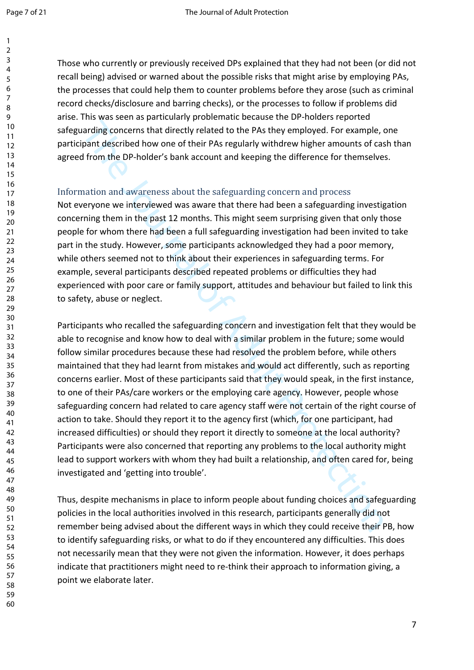Those who currently or previously received DPs explained that they had not been (or did not recall being) advised or warned about the possible risks that might arise by employing PAs, the processes that could help them to counter problems before they arose (such as criminal record checks/disclosure and barring checks), or the processes to follow if problems did arise. This was seen as particularly problematic because the DP-holders reported safeguarding concerns that directly related to the PAs they employed. For example, one participant described how one of their PAs regularly withdrew higher amounts of cash than agreed from the DP-holder's bank account and keeping the difference for themselves.

## Information and awareness about the safeguarding concern and process

Not everyone we interviewed was aware that there had been a safeguarding investigation concerning them in the past 12 months. This might seem surprising given that only those people for whom there had been a full safeguarding investigation had been invited to take part in the study. However, some participants acknowledged they had a poor memory, while others seemed not to think about their experiences in safeguarding terms. For example, several participants described repeated problems or difficulties they had experienced with poor care or family support, attitudes and behaviour but failed to link this to safety, abuse or neglect.

marding concerns that directly related to the PAs they employed. For example, or<br>and ing concerns that directly related to the PAs they employed. For example, pant described how one of their PAs regularly withdrew higher a Participants who recalled the safeguarding concern and investigation felt that they would be able to recognise and know how to deal with a similar problem in the future; some would follow similar procedures because these had resolved the problem before, while others maintained that they had learnt from mistakes and would act differently, such as reporting concerns earlier. Most of these participants said that they would speak, in the first instance, to one of their PAs/care workers or the employing care agency. However, people whose safeguarding concern had related to care agency staff were not certain of the right course of action to take. Should they report it to the agency first (which, for one participant, had increased difficulties) or should they report it directly to someone at the local authority? Participants were also concerned that reporting any problems to the local authority might lead to support workers with whom they had built a relationship, and often cared for, being investigated and 'getting into trouble'.

Thus, despite mechanisms in place to inform people about funding choices and safeguarding policies in the local authorities involved in this research, participants generally did not remember being advised about the different ways in which they could receive their PB, how to identify safeguarding risks, or what to do if they encountered any difficulties. This does not necessarily mean that they were not given the information. However, it does perhaps indicate that practitioners might need to re-think their approach to information giving, a point we elaborate later.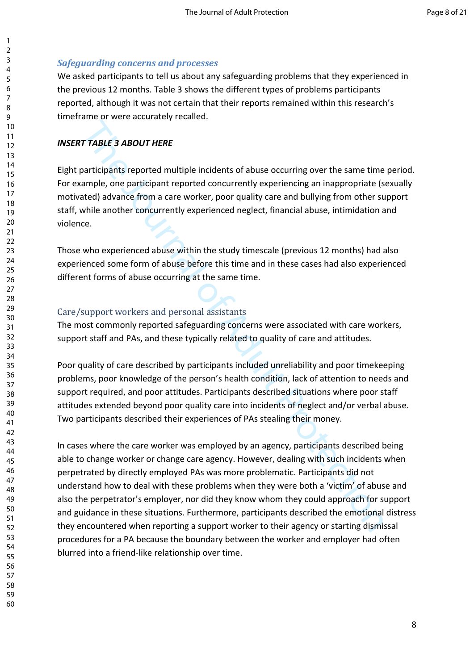## *Safeguarding concerns and processes*

We asked participants to tell us about any safeguarding problems that they experienced in the previous 12 months. Table 3 shows the different types of problems participants reported, although it was not certain that their reports remained within this research's timeframe or were accurately recalled.

## *INSERT TABLE 3 ABOUT HERE*

Eight participants reported multiple incidents of abuse occurring over the same time period. For example, one participant reported concurrently experiencing an inappropriate (sexually motivated) advance from a care worker, poor quality care and bullying from other support staff, while another concurrently experienced neglect, financial abuse, intimidation and violence.

Those who experienced abuse within the study timescale (previous 12 months) had also experienced some form of abuse before this time and in these cases had also experienced different forms of abuse occurring at the same time.

## Care/support workers and personal assistants

The most commonly reported safeguarding concerns were associated with care workers, support staff and PAs, and these typically related to quality of care and attitudes.

Poor quality of care described by participants included unreliability and poor timekeeping problems, poor knowledge of the person's health condition, lack of attention to needs and support required, and poor attitudes. Participants described situations where poor staff attitudes extended beyond poor quality care into incidents of neglect and/or verbal abuse. Two participants described their experiences of PAs stealing their money.

TTABLE 3 ABOUT HERE<br>TTABLE 3 ABOUT HERE<br>articipants reported multiple incidents of abuse occurring over the same time<br>ample, one participant reported concurrently experiencing an inappropriate (s<br>articipant reported motiva In cases where the care worker was employed by an agency, participants described being able to change worker or change care agency. However, dealing with such incidents when perpetrated by directly employed PAs was more problematic. Participants did not understand how to deal with these problems when they were both a 'victim' of abuse and also the perpetrator's employer, nor did they know whom they could approach for support and guidance in these situations. Furthermore, participants described the emotional distress they encountered when reporting a support worker to their agency or starting dismissal procedures for a PA because the boundary between the worker and employer had often blurred into a friend-like relationship over time.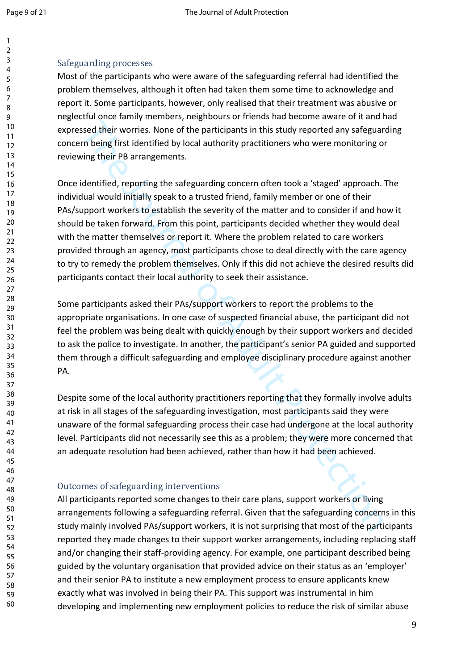## Safeguarding processes

Most of the participants who were aware of the safeguarding referral had identified the problem themselves, although it often had taken them some time to acknowledge and report it. Some participants, however, only realised that their treatment was abusive or neglectful once family members, neighbours or friends had become aware of it and had expressed their worries. None of the participants in this study reported any safeguarding concern being first identified by local authority practitioners who were monitoring or reviewing their PB arrangements.

issed their worries. None of the participants in this study reported any safeguar<br>their worries. None of the participants in this study reported any safeguar<br>or being first identified by local authority practitioners who w Once identified, reporting the safeguarding concern often took a 'staged' approach. The individual would initially speak to a trusted friend, family member or one of their PAs/support workers to establish the severity of the matter and to consider if and how it should be taken forward. From this point, participants decided whether they would deal with the matter themselves or report it. Where the problem related to care workers provided through an agency, most participants chose to deal directly with the care agency to try to remedy the problem themselves. Only if this did not achieve the desired results did participants contact their local authority to seek their assistance.

Some participants asked their PAs/support workers to report the problems to the appropriate organisations. In one case of suspected financial abuse, the participant did not feel the problem was being dealt with quickly enough by their support workers and decided to ask the police to investigate. In another, the participant's senior PA guided and supported them through a difficult safeguarding and employee disciplinary procedure against another PA.

Despite some of the local authority practitioners reporting that they formally involve adults at risk in all stages of the safeguarding investigation, most participants said they were unaware of the formal safeguarding process their case had undergone at the local authority level. Participants did not necessarily see this as a problem; they were more concerned that an adequate resolution had been achieved, rather than how it had been achieved.

## Outcomes of safeguarding interventions

All participants reported some changes to their care plans, support workers or living arrangements following a safeguarding referral. Given that the safeguarding concerns in this study mainly involved PAs/support workers, it is not surprising that most of the participants reported they made changes to their support worker arrangements, including replacing staff and/or changing their staff-providing agency. For example, one participant described being guided by the voluntary organisation that provided advice on their status as an 'employer' and their senior PA to institute a new employment process to ensure applicants knew exactly what was involved in being their PA. This support was instrumental in him developing and implementing new employment policies to reduce the risk of similar abuse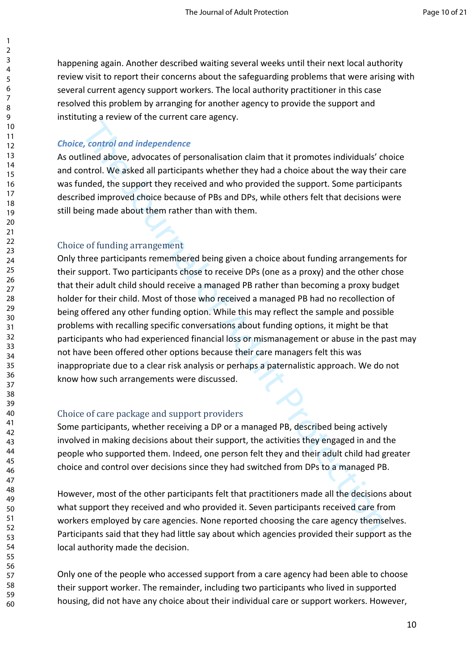happening again. Another described waiting several weeks until their next local authority review visit to report their concerns about the safeguarding problems that were arising with several current agency support workers. The local authority practitioner in this case resolved this problem by arranging for another agency to provide the support and instituting a review of the current care agency.

## *Choice, control and independence*

As outlined above, advocates of personalisation claim that it promotes individuals' choice and control. We asked all participants whether they had a choice about the way their care was funded, the support they received and who provided the support. Some participants described improved choice because of PBs and DPs, while others felt that decisions were still being made about them rather than with them.

### Choice of funding arrangement

er, extended independence of personalisation claim that it promotes individuals' clined above, advocates of personalisation claim that it promotes individuals' clined bove, a doctore about the way the lotter of the support Only three participants remembered being given a choice about funding arrangements for their support. Two participants chose to receive DPs (one as a proxy) and the other chose that their adult child should receive a managed PB rather than becoming a proxy budget holder for their child. Most of those who received a managed PB had no recollection of being offered any other funding option. While this may reflect the sample and possible problems with recalling specific conversations about funding options, it might be that participants who had experienced financial loss or mismanagement or abuse in the past may not have been offered other options because their care managers felt this was inappropriate due to a clear risk analysis or perhaps a paternalistic approach. We do not know how such arrangements were discussed.

## Choice of care package and support providers

Some participants, whether receiving a DP or a managed PB, described being actively involved in making decisions about their support, the activities they engaged in and the people who supported them. Indeed, one person felt they and their adult child had greater choice and control over decisions since they had switched from DPs to a managed PB.

However, most of the other participants felt that practitioners made all the decisions about what support they received and who provided it. Seven participants received care from workers employed by care agencies. None reported choosing the care agency themselves. Participants said that they had little say about which agencies provided their support as the local authority made the decision.

Only one of the people who accessed support from a care agency had been able to choose their support worker. The remainder, including two participants who lived in supported housing, did not have any choice about their individual care or support workers. However,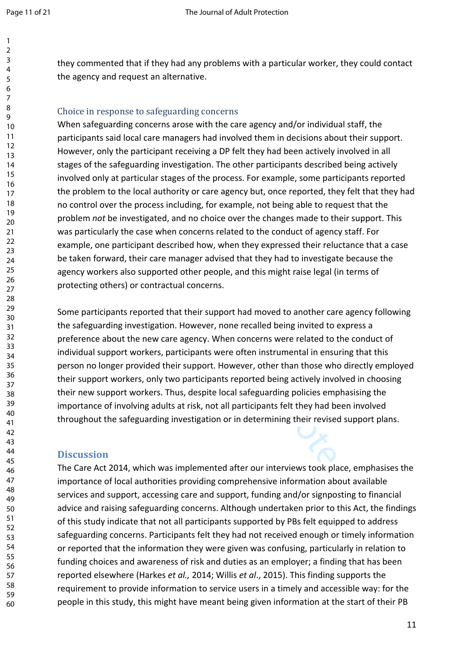they commented that if they had any problems with a particular worker, they could contact the agency and request an alternative.

### Choice in response to safeguarding concerns

safeguarding concerns arose with the care agency and/or individual staff, the<br>pants said local care managers had involved them in decisions about their supper<br>pants and the sete and involved them in decisions about their s When safeguarding concerns arose with the care agency and/or individual staff, the participants said local care managers had involved them in decisions about their support. However, only the participant receiving a DP felt they had been actively involved in all stages of the safeguarding investigation. The other participants described being actively involved only at particular stages of the process. For example, some participants reported the problem to the local authority or care agency but, once reported, they felt that they had no control over the process including, for example, not being able to request that the problem *not* be investigated, and no choice over the changes made to their support. This was particularly the case when concerns related to the conduct of agency staff. For example, one participant described how, when they expressed their reluctance that a case be taken forward, their care manager advised that they had to investigate because the agency workers also supported other people, and this might raise legal (in terms of protecting others) or contractual concerns.

Some participants reported that their support had moved to another care agency following the safeguarding investigation. However, none recalled being invited to express a preference about the new care agency. When concerns were related to the conduct of individual support workers, participants were often instrumental in ensuring that this person no longer provided their support. However, other than those who directly employed their support workers, only two participants reported being actively involved in choosing their new support workers. Thus, despite local safeguarding policies emphasising the importance of involving adults at risk, not all participants felt they had been involved throughout the safeguarding investigation or in determining their revised support plans.

### **Discussion**

The Care Act 2014, which was implemented after our interviews took place, emphasises the importance of local authorities providing comprehensive information about available services and support, accessing care and support, funding and/or signposting to financial advice and raising safeguarding concerns. Although undertaken prior to this Act, the findings of this study indicate that not all participants supported by PBs felt equipped to address safeguarding concerns. Participants felt they had not received enough or timely information or reported that the information they were given was confusing, particularly in relation to funding choices and awareness of risk and duties as an employer; a finding that has been reported elsewhere (Harkes *et al.,* 2014; Willis *et al*., 2015). This finding supports the requirement to provide information to service users in a timely and accessible way: for the people in this study, this might have meant being given information at the start of their PB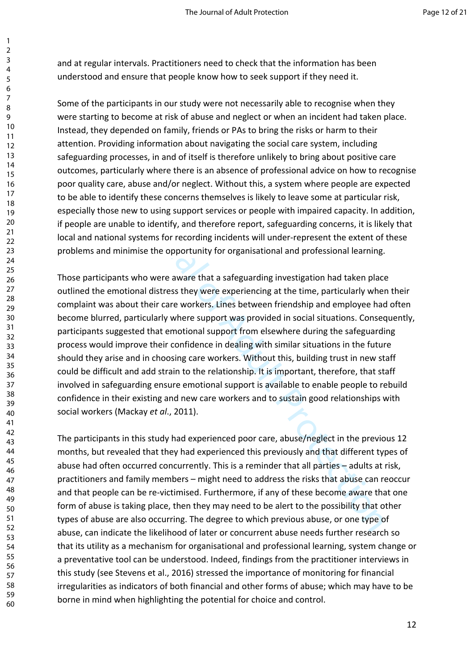and at regular intervals. Practitioners need to check that the information has been understood and ensure that people know how to seek support if they need it.

Some of the participants in our study were not necessarily able to recognise when they were starting to become at risk of abuse and neglect or when an incident had taken place. Instead, they depended on family, friends or PAs to bring the risks or harm to their attention. Providing information about navigating the social care system, including safeguarding processes, in and of itself is therefore unlikely to bring about positive care outcomes, particularly where there is an absence of professional advice on how to recognise poor quality care, abuse and/or neglect. Without this, a system where people are expected to be able to identify these concerns themselves is likely to leave some at particular risk, especially those new to using support services or people with impaired capacity. In addition, if people are unable to identify, and therefore report, safeguarding concerns, it is likely that local and national systems for recording incidents will under-represent the extent of these problems and minimise the opportunity for organisational and professional learning.

of the system of the system of the system and of the system and the system in the system in the system in the system including and the system including the social care system, including the social care system, including th Those participants who were aware that a safeguarding investigation had taken place outlined the emotional distress they were experiencing at the time, particularly when their complaint was about their care workers. Lines between friendship and employee had often become blurred, particularly where support was provided in social situations. Consequently, participants suggested that emotional support from elsewhere during the safeguarding process would improve their confidence in dealing with similar situations in the future should they arise and in choosing care workers. Without this, building trust in new staff could be difficult and add strain to the relationship. It is important, therefore, that staff involved in safeguarding ensure emotional support is available to enable people to rebuild confidence in their existing and new care workers and to sustain good relationships with social workers (Mackay *et al*., 2011).

The participants in this study had experienced poor care, abuse/neglect in the previous 12 months, but revealed that they had experienced this previously and that different types of abuse had often occurred concurrently. This is a reminder that all parties – adults at risk, practitioners and family members – might need to address the risks that abuse can reoccur and that people can be re-victimised. Furthermore, if any of these become aware that one form of abuse is taking place, then they may need to be alert to the possibility that other types of abuse are also occurring. The degree to which previous abuse, or one type of abuse, can indicate the likelihood of later or concurrent abuse needs further research so that its utility as a mechanism for organisational and professional learning, system change or a preventative tool can be understood. Indeed, findings from the practitioner interviews in this study (see Stevens et al., 2016) stressed the importance of monitoring for financial irregularities as indicators of both financial and other forms of abuse; which may have to be borne in mind when highlighting the potential for choice and control.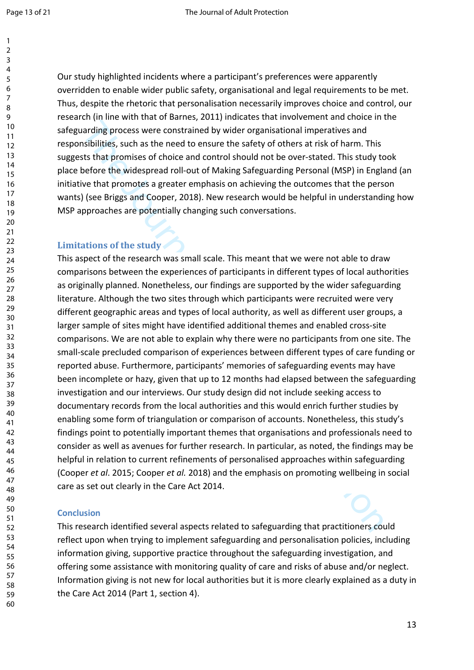Our study highlighted incidents where a participant's preferences were apparently overridden to enable wider public safety, organisational and legal requirements to be met. Thus, despite the rhetoric that personalisation necessarily improves choice and control, our research (in line with that of Barnes, 2011) indicates that involvement and choice in the safeguarding process were constrained by wider organisational imperatives and responsibilities, such as the need to ensure the safety of others at risk of harm. This suggests that promises of choice and control should not be over-stated. This study took place before the widespread roll-out of Making Safeguarding Personal (MSP) in England (an initiative that promotes a greater emphasis on achieving the outcomes that the person wants) (see Briggs and Cooper, 2018). New research would be helpful in understanding how MSP approaches are potentially changing such conversations.

## **Limitations of the study**

arading process were constrained by wider organisational imperatives and<br>isibilities, such as the need to ensure the safety of others at risk of harm. This<br>ist hat promises of choice and control should not be over-stated. This aspect of the research was small scale. This meant that we were not able to draw comparisons between the experiences of participants in different types of local authorities as originally planned. Nonetheless, our findings are supported by the wider safeguarding literature. Although the two sites through which participants were recruited were very different geographic areas and types of local authority, as well as different user groups, a larger sample of sites might have identified additional themes and enabled cross-site comparisons. We are not able to explain why there were no participants from one site. The small-scale precluded comparison of experiences between different types of care funding or reported abuse. Furthermore, participants' memories of safeguarding events may have been incomplete or hazy, given that up to 12 months had elapsed between the safeguarding investigation and our interviews. Our study design did not include seeking access to documentary records from the local authorities and this would enrich further studies by enabling some form of triangulation or comparison of accounts. Nonetheless, this study's findings point to potentially important themes that organisations and professionals need to consider as well as avenues for further research. In particular, as noted, the findings may be helpful in relation to current refinements of personalised approaches within safeguarding (Cooper *et al*. 2015; Cooper *et al.* 2018) and the emphasis on promoting wellbeing in social care as set out clearly in the Care Act 2014.

### **Conclusion**

This research identified several aspects related to safeguarding that practitioners could reflect upon when trying to implement safeguarding and personalisation policies, including information giving, supportive practice throughout the safeguarding investigation, and offering some assistance with monitoring quality of care and risks of abuse and/or neglect. Information giving is not new for local authorities but it is more clearly explained as a duty in the Care Act 2014 (Part 1, section 4).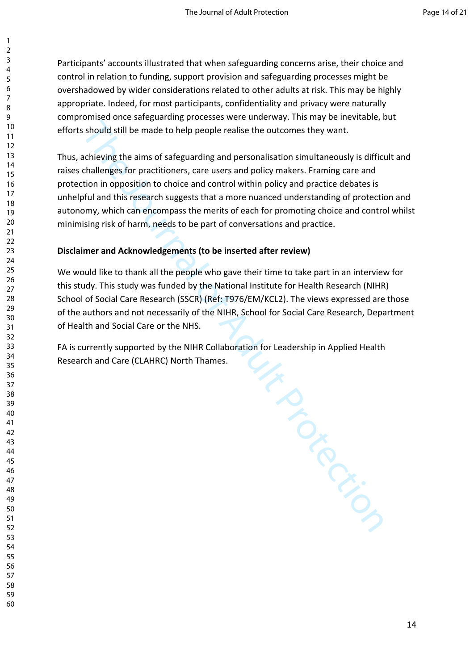Participants' accounts illustrated that when safeguarding concerns arise, their choice and control in relation to funding, support provision and safeguarding processes might be overshadowed by wider considerations related to other adults at risk. This may be highly appropriate. Indeed, for most participants, confidentiality and privacy were naturally compromised once safeguarding processes were underway. This may be inevitable, but efforts should still be made to help people realise the outcomes they want.

Thus, achieving the aims of safeguarding and personalisation simultaneously is difficult and raises challenges for practitioners, care users and policy makers. Framing care and protection in opposition to choice and control within policy and practice debates is unhelpful and this research suggests that a more nuanced understanding of protection and autonomy, which can encompass the merits of each for promoting choice and control whilst minimising risk of harm, needs to be part of conversations and practice.

### **Disclaimer and Acknowledgements (to be inserted after review)**

We would like to thank all the people who gave their time to take part in an interview for this study. This study was funded by the National Institute for Health Research (NIHR) School of Social Care Research (SSCR) (Ref: T976/EM/KCL2). The views expressed are those of the authors and not necessarily of the NIHR, School for Social Care Research, Department of Health and Social Care or the NHS.

THE JOURNAL OF -FA is currently supported by the NIHR Collaboration for Leadership in Applied Health Research and Care (CLAHRC) North Thames.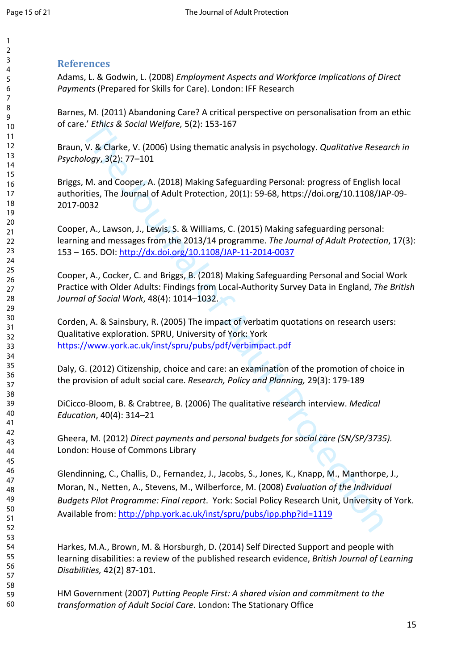#### 

## **References**

Adams, L. & Godwin, L. (2008) *Employment Aspects and Workforce Implications of Direct Payments* (Prepared for Skills for Care). London: IFF Research

Barnes, M. (2011) Abandoning Care? A critical perspective on personalisation from an ethic of care.' *Ethics & Social Welfare,* 5(2): 153-167

Braun, V. & Clarke, V. (2006) Using thematic analysis in psychology. *Qualitative Research in Psychology*, 3(2): 77–101

Briggs, M. and Cooper, A. (2018) Making Safeguarding Personal: progress of English local authorities, The Journal of Adult Protection, 20(1): 59-68, https://doi.org/10.1108/JAP-09- 2017-0032

Cooper, A., Lawson, J., Lewis, S. & Williams, C. (2015) Making safeguarding personal: learning and messages from the 2013/14 programme. *The Journal of Adult Protection*, 17(3): 153 – 165. DOI: http://dx.doi.org/10.1108/JAP-11-2014-0037

Cooper, A., Cocker, C. and Briggs, B. (2018) Making Safeguarding Personal and Social Work Practice with Older Adults: Findings from Local-Authority Survey Data in England, *The British Journal of Social Work*, 48(4): 1014–1032.

Corden, A. & Sainsbury, R. (2005) The impact of verbatim quotations on research users: Qualitative exploration. SPRU, University of York: York https://www.york.ac.uk/inst/spru/pubs/pdf/verbimpact.pdf

Daly, G. (2012) Citizenship, choice and care: an examination of the promotion of choice in the provision of adult social care. *Research, Policy and Planning,* 29(3): 179-189

DiCicco-Bloom, B. & Crabtree, B. (2006) The qualitative research interview. *Medical Education*, 40(4): 314–21

Gheera, M. (2012) *Direct payments and personal budgets for social care (SN/SP/3735).* London: House of Commons Library

e.' Ethics & Social Welfare, 5(2): 153-167<br>
V. & Clarke, V. (2006) Using thematic analysis in psychology. Qualitative Resection, 3(2): 77–101<br>
M. and Cooper, A. (2018) Making Safeguarding Personal: progress of English lay. Glendinning, C., Challis, D., Fernandez, J., Jacobs, S., Jones, K., Knapp, M., Manthorpe, J., Moran, N., Netten, A., Stevens, M., Wilberforce, M. (2008) *Evaluation of the Individual Budgets Pilot Programme: Final report*. York: Social Policy Research Unit, University of York. Available from: http://php.york.ac.uk/inst/spru/pubs/ipp.php?id=1119

Harkes, M.A., Brown, M. & Horsburgh, D. (2014) Self Directed Support and people with learning disabilities: a review of the published research evidence, *British Journal of Learning Disabilities,* 42(2) 87-101.

HM Government (2007) *Putting People First: A shared vision and commitment to the transformation of Adult Social Care*. London: The Stationary Office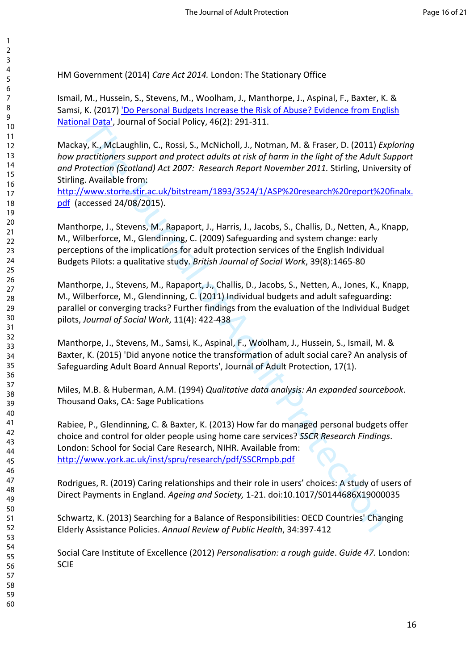HM Government (2014) *Care Act 2014.* London: The Stationary Office

Ismail, M., Hussein, S., Stevens, M., Woolham, J., Manthorpe, J., Aspinal, F., Baxter, K. & Samsi, K. (2017) 'Do Personal Budgets Increase the Risk of Abuse? Evidence from English National Data', Journal of Social Policy, 46(2): 291-311.

Mackay, K., McLaughlin, C., Rossi, S., McNicholl, J., Notman, M. & Fraser, D. (2011) *Exploring how practitioners support and protect adults at risk of harm in the light of the Adult Support and Protection (Scotland) Act 2007: Research Report November 2011.* Stirling, University of Stirling. Available from:

http://www.storre.stir.ac.uk/bitstream/1893/3524/1/ASP%20research%20report%20finalx. pdf (accessed 24/08/2015).

Ital Data", Journal of Social Policy, 46(2): 291-311.<br>
W, K., McLaughlin, C., Rossi, S., McNicholl, J., Notman, M. & Fraser, D. (2011) Entitled contributions support and protect draluts of trisk of harm. In the light of th Manthorpe, J., Stevens, M., Rapaport, J., Harris, J., Jacobs, S., Challis, D., Netten, A., Knapp, M., Wilberforce, M., Glendinning, C. (2009) Safeguarding and system change: early perceptions of the implications for adult protection services of the English Individual Budgets Pilots: a qualitative study. *British Journal of Social Work*, 39(8):1465-80

Manthorpe, J., Stevens, M., Rapaport, J., Challis, D., Jacobs, S., Netten, A., Jones, K., Knapp, M., Wilberforce, M., Glendinning, C. (2011) Individual budgets and adult safeguarding: parallel or converging tracks? Further findings from the evaluation of the Individual Budget pilots, *Journal of Social Work*, 11(4): 422-438

Manthorpe, J., Stevens, M., Samsi, K., Aspinal, F., Woolham, J., Hussein, S., Ismail, M. & Baxter, K. (2015) 'Did anyone notice the transformation of adult social care? An analysis of Safeguarding Adult Board Annual Reports', Journal of Adult Protection, 17(1).

Miles, M.B. & Huberman, A.M. (1994) *Qualitative data analysis: An expanded sourcebook*. Thousand Oaks, CA: Sage Publications

Rabiee, P., Glendinning, C. & Baxter, K. (2013) How far do managed personal budgets offer choice and control for older people using home care services? *SSCR Research Findings*. London: School for Social Care Research, NIHR. Available from: http://www.york.ac.uk/inst/spru/research/pdf/SSCRmpb.pdf

Rodrigues, R. (2019) Caring relationships and their role in users' choices: A study of users of Direct Payments in England. *Ageing and Society,* 1-21. doi:10.1017/S0144686X19000035

Schwartz, K. (2013) Searching for a Balance of Responsibilities: OECD Countries' Changing Elderly Assistance Policies. *Annual Review of Public Health*, 34:397-412

Social Care Institute of Excellence (2012) *Personalisation: a rough guide*. *Guide 47.* London: SCIE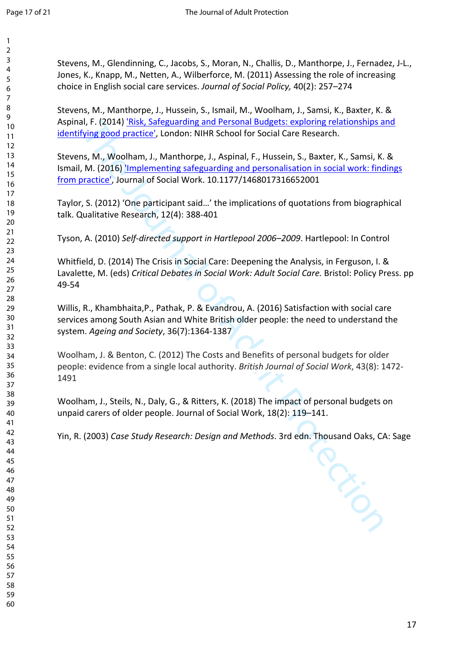| 3                                         |  |
|-------------------------------------------|--|
| 4                                         |  |
| 5                                         |  |
|                                           |  |
| 6                                         |  |
|                                           |  |
| 8                                         |  |
| €                                         |  |
| 10                                        |  |
|                                           |  |
| 1<br>$\mathbf{1}$                         |  |
| $\mathbf{1}$<br>$\overline{2}$            |  |
| 13                                        |  |
| 1<br>4                                    |  |
|                                           |  |
| 15                                        |  |
| 16                                        |  |
| 17                                        |  |
| 18                                        |  |
| 19                                        |  |
|                                           |  |
| 20                                        |  |
| $\overline{21}$                           |  |
| $\overline{2}$<br>$\overline{2}$          |  |
| $\overline{2}$<br>$\overline{\mathbf{3}}$ |  |
|                                           |  |
| $\frac{24}{3}$                            |  |
| 25                                        |  |
| 26                                        |  |
| $^{27}$                                   |  |
| 28                                        |  |
|                                           |  |
| 29                                        |  |
| 30                                        |  |
| $\overline{\textbf{3}}$                   |  |
| $\overline{\mathbf{3}}$<br>$\overline{2}$ |  |
|                                           |  |
| $\overline{\mathbf{3}}$<br>3              |  |
| 34                                        |  |
| 35                                        |  |
| 36                                        |  |
|                                           |  |
| $\overline{\mathbf{3}}$                   |  |
| 38                                        |  |
| 39                                        |  |
| 10                                        |  |
|                                           |  |
| 41                                        |  |
| 42                                        |  |
| 4.<br>ξ                                   |  |
| 44                                        |  |
|                                           |  |
| 45                                        |  |
| 46                                        |  |
| 4                                         |  |
| 48                                        |  |
|                                           |  |
| 49                                        |  |
| 50                                        |  |
| 51                                        |  |
| 5<br>2                                    |  |
| 5.<br>ξ                                   |  |
|                                           |  |
| c<br>54                                   |  |
| c<br>$\overline{\phantom{a}}$             |  |
| 56                                        |  |
| 5                                         |  |
|                                           |  |

  Stevens, M., Glendinning, C., Jacobs, S., Moran, N., Challis, D., Manthorpe, J., Fernadez, J-L., Jones, K., Knapp, M., Netten, A., Wilberforce, M. (2011) Assessing the role of increasing choice in English social care services. *Journal of Social Policy,* 40(2): 257–274

Stevens, M., Manthorpe, J., Hussein, S., Ismail, M., Woolham, J., Samsi, K., Baxter, K. & Aspinal, F. (2014) 'Risk, Safeguarding and Personal Budgets: exploring relationships and identifying good practice', London: NIHR School for Social Care Research.

al, F. (2014) Thisk, Saleguarding and Personal Budgets: exploring relationships and<br>
Mying good practice', London: NIHR School for Social Care Research.<br>
IN, M, Woolham, J., Manthorpe, J., Aspinal, F., Hussein, S., Baxter, Stevens, M., Woolham, J., Manthorpe, J., Aspinal, F., Hussein, S., Baxter, K., Samsi, K. & Ismail, M. (2016) *Implementing safeguarding and personalisation in social work: findings* from practice', Journal of Social Work. 10.1177/1468017316652001

Taylor, S. (2012) 'One participant said…' the implications of quotations from biographical talk. Qualitative Research, 12(4): 388-401

Tyson, A. (2010) *Self-directed support in Hartlepool 2006–2009*. Hartlepool: In Control

Whitfield, D. (2014) The Crisis in Social Care: Deepening the Analysis, in Ferguson, I. & Lavalette, M. (eds) *Critical Debates in Social Work: Adult Social Care.* Bristol: Policy Press. pp 49-54

Willis, R., Khambhaita,P., Pathak, P. & Evandrou, A. (2016) Satisfaction with social care services among South Asian and White British older people: the need to understand the system. *Ageing and Society*, 36(7):1364-1387

Woolham, J. & Benton, C. (2012) The Costs and Benefits of personal budgets for older people: evidence from a single local authority. *British Journal of Social Work*, 43(8): 1472- 

Woolham, J., Steils, N., Daly, G., & Ritters, K. (2018) The impact of personal budgets on unpaid carers of older people. Journal of Social Work, 18(2): 119–141.

Yin, R. (2003) *Case Study Research: Design and Methods*. 3rd edn. Thousand Oaks, CA: Sage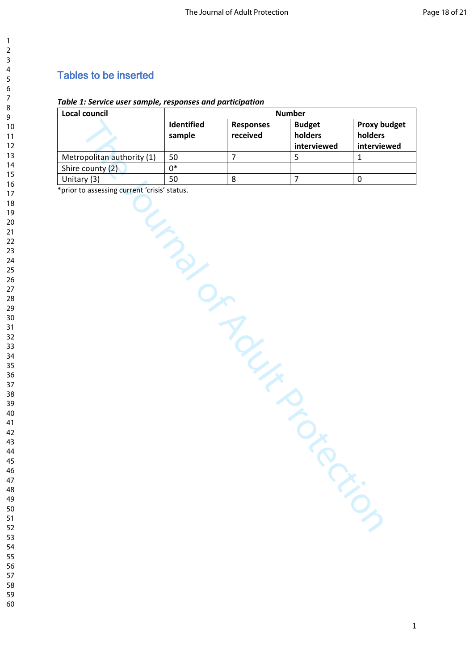# Tables to be inserted

## *Table 1: Service user sample, responses and participation*

| Local council                                | <b>Number</b> |                  |                     |                     |
|----------------------------------------------|---------------|------------------|---------------------|---------------------|
|                                              | Identified    | <b>Responses</b> | <b>Budget</b>       | <b>Proxy budget</b> |
|                                              | sample        | received         | holders             | holders             |
|                                              |               |                  | interviewed         | interviewed         |
| Metropolitan authority (1)                   | 50            | $\overline{7}$   | 5                   | $\mathbf 1$         |
| Shire county (2)                             | $0*$          |                  |                     |                     |
| Unitary (3)                                  | 50            | 8                | $\overline{7}$      | $\pmb{0}$           |
| *prior to assessing current 'crisis' status. | UMBON         | IR MARIA         | $\hat{O}_{\lambda}$ |                     |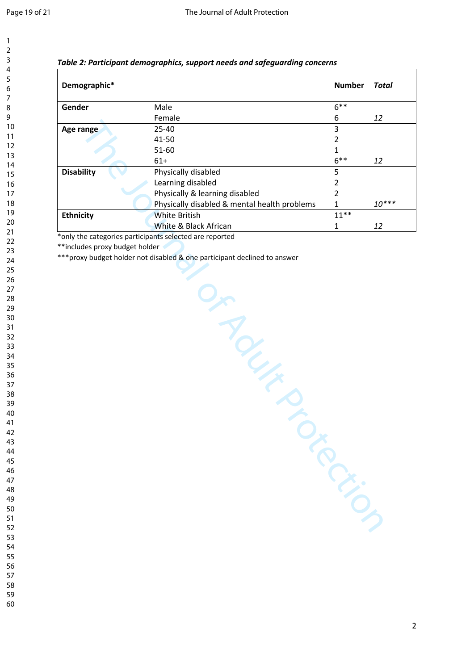| 2                            |
|------------------------------|
|                              |
| 3                            |
| 4                            |
| 5                            |
| 6                            |
|                              |
|                              |
| 8                            |
| 9                            |
|                              |
| 10                           |
| 1<br>1                       |
| $\overline{2}$<br>1          |
| 3<br>1                       |
| 4<br>1                       |
|                              |
| 15                           |
| 16                           |
| 7<br>1                       |
|                              |
| 18                           |
| 19                           |
| 20                           |
| $\overline{21}$              |
|                              |
| $\overline{2}$               |
| $^{23}$                      |
| 24                           |
| 25                           |
|                              |
| 26                           |
| 27                           |
| 28                           |
| 29                           |
|                              |
| 30                           |
| $\overline{\textbf{3}}$      |
| 32                           |
| 3<br>$\overline{\mathbf{3}}$ |
|                              |
| 34                           |
| 35                           |
| 36                           |
|                              |
| 37                           |
| 38                           |
| 3                            |
| 40                           |
|                              |
| 41                           |
| 42                           |
| 4.<br>ξ                      |
| 44                           |
|                              |
| 45                           |
| 46                           |
| 47                           |
| 48                           |
|                              |
| 49                           |
| 50                           |
| 51                           |
| 52                           |
|                              |
| 5.<br>ξ                      |
|                              |
| 54                           |
|                              |
| 55                           |
| 56<br>57                     |

 

| Table 2: Participant demographics, support needs and safeguarding concerns |  |  |  |  |
|----------------------------------------------------------------------------|--|--|--|--|
|----------------------------------------------------------------------------|--|--|--|--|

| Demographic*                                                                             |                                                                           | <b>Number</b>  | <b>Total</b> |
|------------------------------------------------------------------------------------------|---------------------------------------------------------------------------|----------------|--------------|
| Gender                                                                                   | Male                                                                      | $6***$         |              |
|                                                                                          | Female                                                                    | 6              | 12           |
| Age range                                                                                | 25-40                                                                     | 3              |              |
|                                                                                          | 41-50                                                                     | $\overline{2}$ |              |
|                                                                                          | 51-60                                                                     | $\mathbf{1}$   |              |
|                                                                                          | $61+$                                                                     | $6***$         | 12           |
| <b>Disability</b>                                                                        | Physically disabled                                                       | 5              |              |
|                                                                                          | Learning disabled                                                         | $\overline{2}$ |              |
|                                                                                          | Physically & learning disabled                                            | $\overline{2}$ |              |
|                                                                                          | Physically disabled & mental health problems                              | $\mathbf{1}$   | $10***$      |
| <b>Ethnicity</b>                                                                         | <b>White British</b>                                                      | $11**$         |              |
|                                                                                          | White & Black African                                                     | $\mathbf{1}$   | 12           |
| only the categories participants selected are reported<br>**includes proxy budget holder | *** proxy budget holder not disabled & one participant declined to answer |                |              |
|                                                                                          | Y Ly                                                                      |                |              |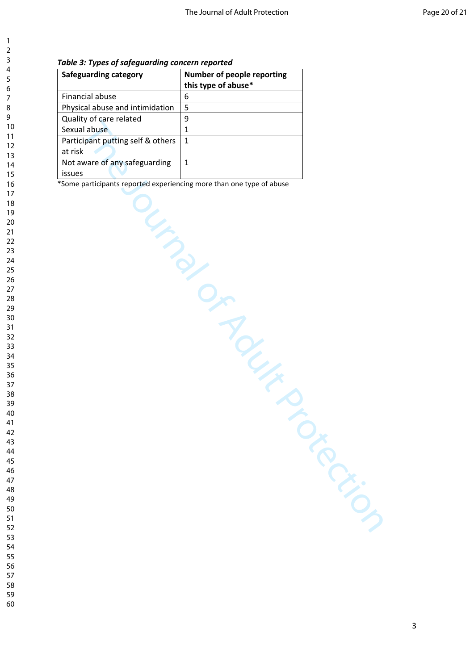### *Table 3: Types of safeguarding concern reported*

| <b>Safeguarding category</b>      | Number of people reporting |
|-----------------------------------|----------------------------|
|                                   | this type of abuse*        |
| Financial abuse                   | 6                          |
| Physical abuse and intimidation   | 5                          |
| Quality of care related           | 9                          |
| Sexual abuse                      | $\mathbf{1}$               |
| Participant putting self & others | $\mathbf{1}$               |
| at risk                           |                            |
| Not aware of any safeguarding     | $\mathbf{1}$               |
| issues                            |                            |
| LIND OF                           | Roup                       |